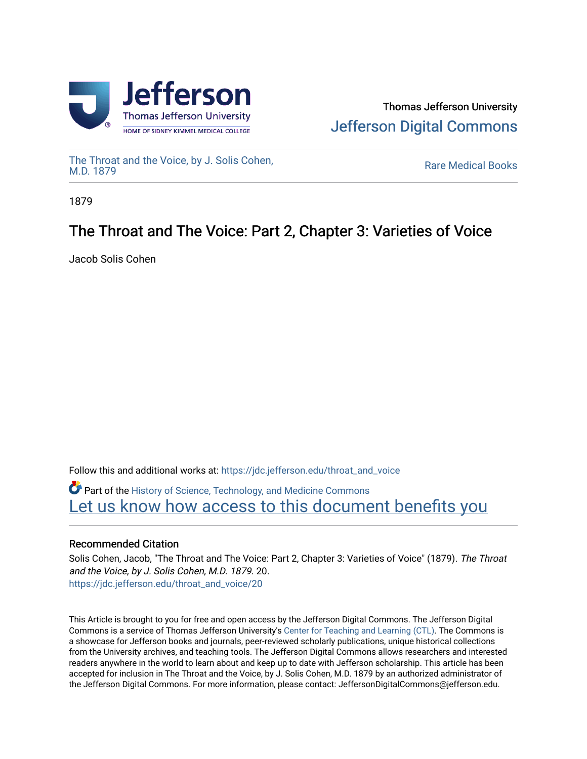



[The Throat and the Voice, by J. Solis Cohen,](https://jdc.jefferson.edu/throat_and_voice)<br>M.D. 1879

**Rare Medical Books** 

1879

# The Throat and The Voice: Part 2, Chapter 3: Varieties of Voice

Jacob Solis Cohen

Follow this and additional works at: [https://jdc.jefferson.edu/throat\\_and\\_voice](https://jdc.jefferson.edu/throat_and_voice?utm_source=jdc.jefferson.edu%2Fthroat_and_voice%2F20&utm_medium=PDF&utm_campaign=PDFCoverPages) **P** Part of the History of Science, Technology, and Medicine Commons Let us know how access to this document benefits you

# Recommended Citation

Solis Cohen, Jacob, "The Throat and The Voice: Part 2, Chapter 3: Varieties of Voice" (1879). The Throat and the Voice, by J. Solis Cohen, M.D. 1879. 20. [https://jdc.jefferson.edu/throat\\_and\\_voice/20](https://jdc.jefferson.edu/throat_and_voice/20?utm_source=jdc.jefferson.edu%2Fthroat_and_voice%2F20&utm_medium=PDF&utm_campaign=PDFCoverPages) 

This Article is brought to you for free and open access by the Jefferson Digital Commons. The Jefferson Digital Commons is a service of Thomas Jefferson University's [Center for Teaching and Learning \(CTL\)](http://www.jefferson.edu/university/teaching-learning.html/). The Commons is a showcase for Jefferson books and journals, peer-reviewed scholarly publications, unique historical collections from the University archives, and teaching tools. The Jefferson Digital Commons allows researchers and interested readers anywhere in the world to learn about and keep up to date with Jefferson scholarship. This article has been accepted for inclusion in The Throat and the Voice, by J. Solis Cohen, M.D. 1879 by an authorized administrator of the Jefferson Digital Commons. For more information, please contact: JeffersonDigitalCommons@jefferson.edu.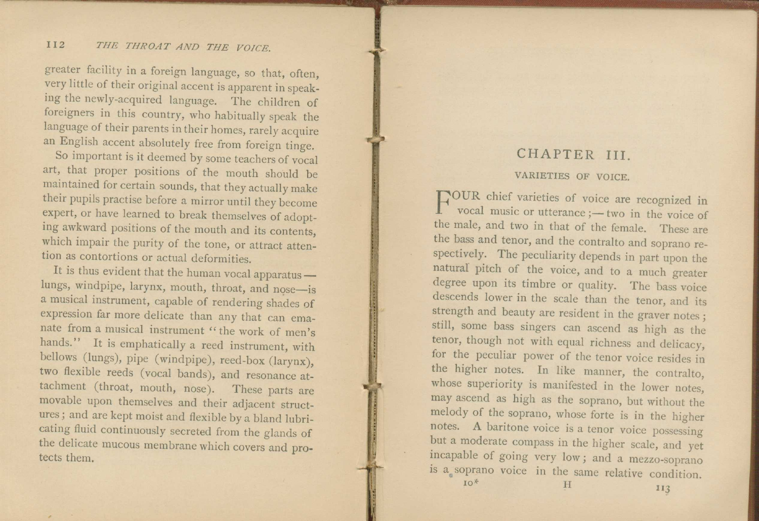#### I I2 *THE THROAT AND THE VOICE.*

greater facility in a foreign language, so that, often, very little of their original accent is apparent in speaking the newly-acquired language. The children of foreigners in this country, who habitually speak the language of their parents in their homes, rarely acquire an English accent absolutely free from foreign tinge.

So important is it deemed by some teachers of vocal art, that proper positions of the mouth should be maintained for certain sounds, that they actually make their pupils practise before a mirror until they become expert, or have learned to break themselves of adopting awkward positions of the mouth and its contents, which impair the purity of the tone, or attract attention as contortions or actual deformities.

It is thus evident that the human vocal apparatus  $$ lungs, windpipe, larynx, mouth, throat, and nose—is a musical instrument, capable of rendering shades of expression far more delicate than any that can emanate from a musical instrument " the work of men's hands." It is emphatically a reed instrument, with bellows (lungs), pipe (windpipe), reed-box (larynx), two flexible reeds (vocal bands), and resonance attachment (throat, mouth, nose). These parts are movable upon themselves and their adjacent structures ; and are kept moist and flexible by a bland lubricating fluid continuously secreted from the glands of the delicate mucous membrane which covers and protects them.

## CHAPTER III.

#### VARIETIES OF VOICE.

FOUR chief varieties of voice are recognized in<br>vocal music or utterance ;—two in the voice of vocal music or utterance ;— two in the voice of the male, and two in that of the female. These are the bass and tenor, and the contralto and soprano respectively. The peculiarity depends in part upon the natural pitch of the voice, and to a much greater degree upon its timbre or quality. The bass voice descends lower in the scale than the tenor, and its strength and beauty are resident in the graver notes ; still, some bass singers can ascend as high as the tenor, though not with equal richness and delicacy, for the peculiar power of the tenor voice resides in the higher notes. In like manner, the contralto, whose superiority is manifested in the lower notes, may ascend as high as the soprano, but without the melody of the soprano, whose forte is in the higher notes. A baritone voice is a tenor voice possessing but a moderate compass in the higher scale, and yet incapable of going very low ; and a mezzo-soprano s a soprano voice in the same relative condition.  $\sigma^*$  H  $_{II3}$